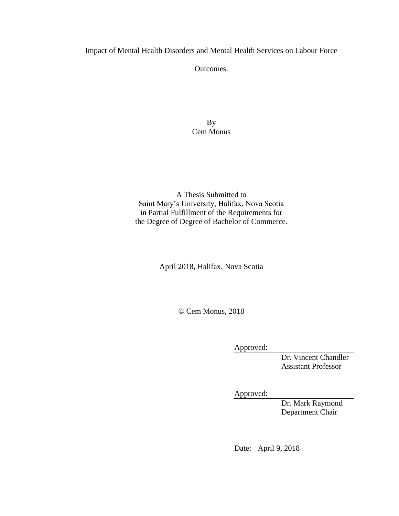Impact of Mental Health Disorders and Mental Health Services on Labour Force

Outcomes.

By Cem Monus

A Thesis Submitted to Saint Mary's University, Halifax, Nova Scotia in Partial Fulfillment of the Requirements for the Degree of Degree of Bachelor of Commerce.

April 2018, Halifax, Nova Scotia

© Cem Monus, 2018

Approved:

Dr. Vincent Chandler Assistant Professor

Approved:

Dr. Mark Raymond Department Chair

Date: April 9, 2018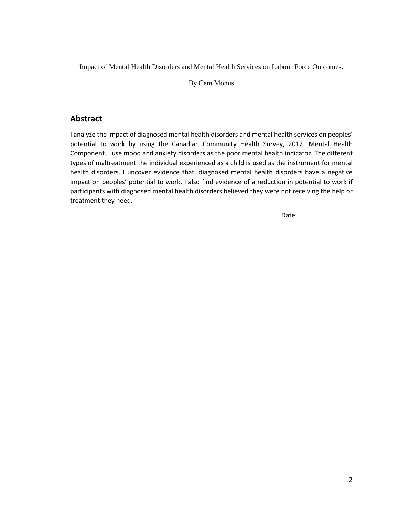Impact of Mental Health Disorders and Mental Health Services on Labour Force Outcomes.

By Cem Monus

# **Abstract**

I analyze the impact of diagnosed mental health disorders and mental health services on peoples' potential to work by using the Canadian Community Health Survey, 2012: Mental Health Component. I use mood and anxiety disorders as the poor mental health indicator. The different types of maltreatment the individual experienced as a child is used as the instrument for mental health disorders. I uncover evidence that, diagnosed mental health disorders have a negative impact on peoples' potential to work. I also find evidence of a reduction in potential to work if participants with diagnosed mental health disorders believed they were not receiving the help or treatment they need.

Date: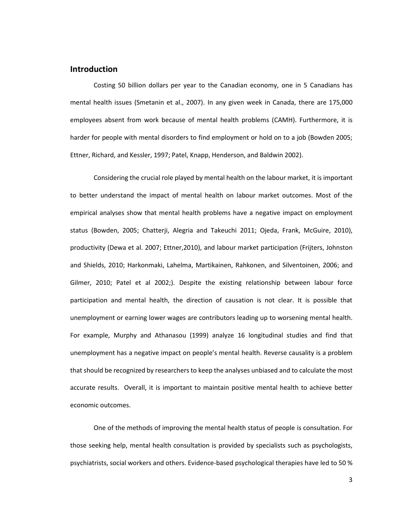## **Introduction**

Costing 50 billion dollars per year to the Canadian economy, one in 5 Canadians has mental health issues (Smetanin et al., 2007). In any given week in Canada, there are 175,000 employees absent from work because of mental health problems (CAMH). Furthermore, it is harder for people with mental disorders to find employment or hold on to a job (Bowden 2005; Ettner, Richard, and Kessler, 1997; Patel, Knapp, Henderson, and Baldwin 2002).

Considering the crucial role played by mental health on the labour market, it is important to better understand the impact of mental health on labour market outcomes. Most of the empirical analyses show that mental health problems have a negative impact on employment status (Bowden, 2005; Chatterji, Alegria and Takeuchi 2011; Ojeda, Frank, McGuire, 2010), productivity (Dewa et al. 2007; Ettner,2010), and labour market participation (Frijters, Johnston and Shields, 2010; Harkonmaki, Lahelma, Martikainen, Rahkonen, and Silventoinen, 2006; and Gilmer, 2010; Patel et al 2002;). Despite the existing relationship between labour force participation and mental health, the direction of causation is not clear. It is possible that unemployment or earning lower wages are contributors leading up to worsening mental health. For example, Murphy and Athanasou (1999) analyze 16 longitudinal studies and find that unemployment has a negative impact on people's mental health. Reverse causality is a problem that should be recognized by researchers to keep the analyses unbiased and to calculate the most accurate results. Overall, it is important to maintain positive mental health to achieve better economic outcomes.

One of the methods of improving the mental health status of people is consultation. For those seeking help, mental health consultation is provided by specialists such as psychologists, psychiatrists, social workers and others. Evidence-based psychological therapies have led to 50 %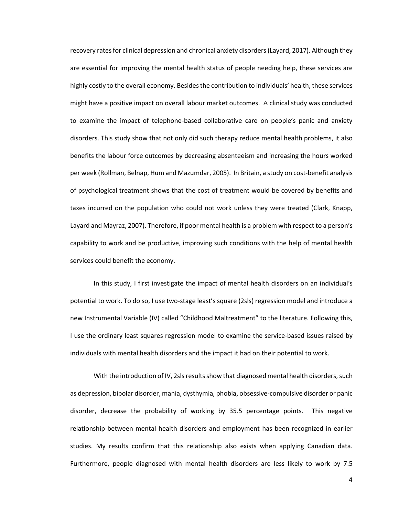recovery rates for clinical depression and chronical anxiety disorders (Layard, 2017). Although they are essential for improving the mental health status of people needing help, these services are highly costly to the overall economy. Besides the contribution to individuals' health, these services might have a positive impact on overall labour market outcomes. A clinical study was conducted to examine the impact of telephone-based collaborative care on people's panic and anxiety disorders. This study show that not only did such therapy reduce mental health problems, it also benefits the labour force outcomes by decreasing absenteeism and increasing the hours worked per week (Rollman, Belnap, Hum and Mazumdar, 2005). In Britain, a study on cost-benefit analysis of psychological treatment shows that the cost of treatment would be covered by benefits and taxes incurred on the population who could not work unless they were treated (Clark, Knapp, Layard and Mayraz, 2007). Therefore, if poor mental health is a problem with respect to a person's capability to work and be productive, improving such conditions with the help of mental health services could benefit the economy.

In this study, I first investigate the impact of mental health disorders on an individual's potential to work. To do so, I use two-stage least's square (2sls) regression model and introduce a new Instrumental Variable (IV) called "Childhood Maltreatment" to the literature. Following this, I use the ordinary least squares regression model to examine the service-based issues raised by individuals with mental health disorders and the impact it had on their potential to work.

With the introduction of IV, 2sls results show that diagnosed mental health disorders, such as depression, bipolar disorder, mania, dysthymia, phobia, obsessive-compulsive disorder or panic disorder, decrease the probability of working by 35.5 percentage points. This negative relationship between mental health disorders and employment has been recognized in earlier studies. My results confirm that this relationship also exists when applying Canadian data. Furthermore, people diagnosed with mental health disorders are less likely to work by 7.5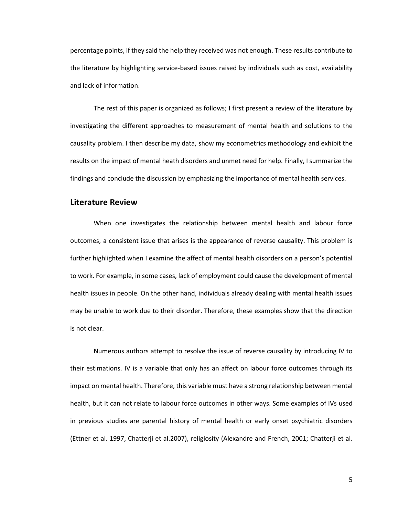percentage points, if they said the help they received was not enough. These results contribute to the literature by highlighting service-based issues raised by individuals such as cost, availability and lack of information.

The rest of this paper is organized as follows; I first present a review of the literature by investigating the different approaches to measurement of mental health and solutions to the causality problem. I then describe my data, show my econometrics methodology and exhibit the results on the impact of mental heath disorders and unmet need for help. Finally, I summarize the findings and conclude the discussion by emphasizing the importance of mental health services.

## **Literature Review**

When one investigates the relationship between mental health and labour force outcomes, a consistent issue that arises is the appearance of reverse causality. This problem is further highlighted when I examine the affect of mental health disorders on a person's potential to work. For example, in some cases, lack of employment could cause the development of mental health issues in people. On the other hand, individuals already dealing with mental health issues may be unable to work due to their disorder. Therefore, these examples show that the direction is not clear.

Numerous authors attempt to resolve the issue of reverse causality by introducing IV to their estimations. IV is a variable that only has an affect on labour force outcomes through its impact on mental health. Therefore, this variable must have a strong relationship between mental health, but it can not relate to labour force outcomes in other ways. Some examples of IVs used in previous studies are parental history of mental health or early onset psychiatric disorders (Ettner et al. 1997, Chatterji et al.2007), religiosity (Alexandre and French, 2001; Chatterji et al.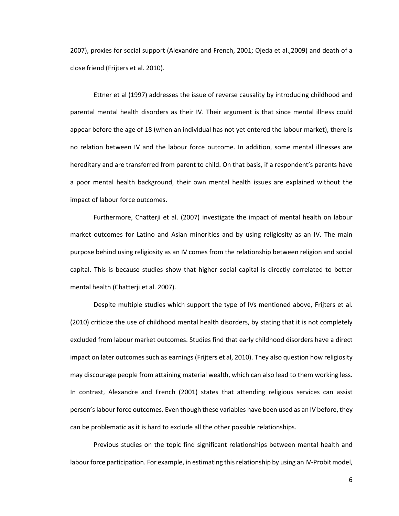2007), proxies for social support (Alexandre and French, 2001; Ojeda et al.,2009) and death of a close friend (Frijters et al. 2010).

Ettner et al (1997) addresses the issue of reverse causality by introducing childhood and parental mental health disorders as their IV. Their argument is that since mental illness could appear before the age of 18 (when an individual has not yet entered the labour market), there is no relation between IV and the labour force outcome. In addition, some mental illnesses are hereditary and are transferred from parent to child. On that basis, if a respondent's parents have a poor mental health background, their own mental health issues are explained without the impact of labour force outcomes.

Furthermore, Chatterji et al. (2007) investigate the impact of mental health on labour market outcomes for Latino and Asian minorities and by using religiosity as an IV. The main purpose behind using religiosity as an IV comes from the relationship between religion and social capital. This is because studies show that higher social capital is directly correlated to better mental health (Chatterji et al. 2007).

Despite multiple studies which support the type of IVs mentioned above, Frijters et al. (2010) criticize the use of childhood mental health disorders, by stating that it is not completely excluded from labour market outcomes. Studies find that early childhood disorders have a direct impact on later outcomes such as earnings (Frijters et al, 2010). They also question how religiosity may discourage people from attaining material wealth, which can also lead to them working less. In contrast, Alexandre and French (2001) states that attending religious services can assist person's labour force outcomes. Even though these variables have been used as an IV before, they can be problematic as it is hard to exclude all the other possible relationships.

Previous studies on the topic find significant relationships between mental health and labour force participation. For example, in estimating this relationship by using an IV-Probit model,

6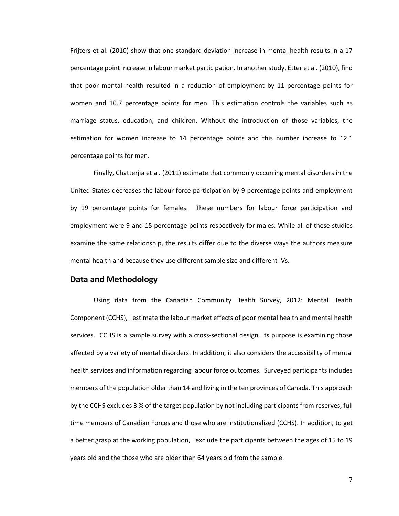Frijters et al. (2010) show that one standard deviation increase in mental health results in a 17 percentage point increase in labour market participation. In another study, Etter et al. (2010), find that poor mental health resulted in a reduction of employment by 11 percentage points for women and 10.7 percentage points for men. This estimation controls the variables such as marriage status, education, and children. Without the introduction of those variables, the estimation for women increase to 14 percentage points and this number increase to 12.1 percentage points for men.

Finally, Chatterjia et al. (2011) estimate that commonly occurring mental disorders in the United States decreases the labour force participation by 9 percentage points and employment by 19 percentage points for females. These numbers for labour force participation and employment were 9 and 15 percentage points respectively for males. While all of these studies examine the same relationship, the results differ due to the diverse ways the authors measure mental health and because they use different sample size and different IVs.

# **Data and Methodology**

Using data from the Canadian Community Health Survey, 2012: Mental Health Component (CCHS), I estimate the labour market effects of poor mental health and mental health services. CCHS is a sample survey with a cross-sectional design. Its purpose is examining those affected by a variety of mental disorders. In addition, it also considers the accessibility of mental health services and information regarding labour force outcomes. Surveyed participants includes members of the population older than 14 and living in the ten provinces of Canada. This approach by the CCHS excludes 3 % of the target population by not including participants from reserves, full time members of Canadian Forces and those who are institutionalized (CCHS). In addition, to get a better grasp at the working population, I exclude the participants between the ages of 15 to 19 years old and the those who are older than 64 years old from the sample.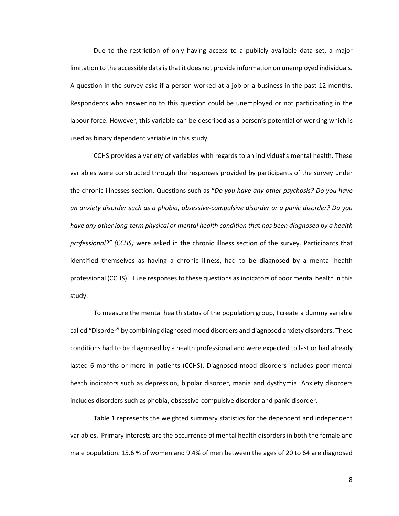Due to the restriction of only having access to a publicly available data set, a major limitation to the accessible data is that it does not provide information on unemployed individuals. A question in the survey asks if a person worked at a job or a business in the past 12 months. Respondents who answer no to this question could be unemployed or not participating in the labour force. However, this variable can be described as a person's potential of working which is used as binary dependent variable in this study.

CCHS provides a variety of variables with regards to an individual's mental health. These variables were constructed through the responses provided by participants of the survey under the chronic illnesses section. Questions such as "*Do you have any other psychosis? Do you have an anxiety disorder such as a phobia, obsessive-compulsive disorder or a panic disorder? Do you have any other long-term physical or mental health condition that has been diagnosed by a health professional?" (CCHS)* were asked in the chronic illness section of the survey. Participants that identified themselves as having a chronic illness, had to be diagnosed by a mental health professional (CCHS). I use responses to these questions as indicators of poor mental health in this study.

To measure the mental health status of the population group, I create a dummy variable called "Disorder" by combining diagnosed mood disorders and diagnosed anxiety disorders. These conditions had to be diagnosed by a health professional and were expected to last or had already lasted 6 months or more in patients (CCHS). Diagnosed mood disorders includes poor mental heath indicators such as depression, bipolar disorder, mania and dysthymia. Anxiety disorders includes disorders such as phobia, obsessive-compulsive disorder and panic disorder.

Table 1 represents the weighted summary statistics for the dependent and independent variables. Primary interests are the occurrence of mental health disorders in both the female and male population. 15.6 % of women and 9.4% of men between the ages of 20 to 64 are diagnosed

8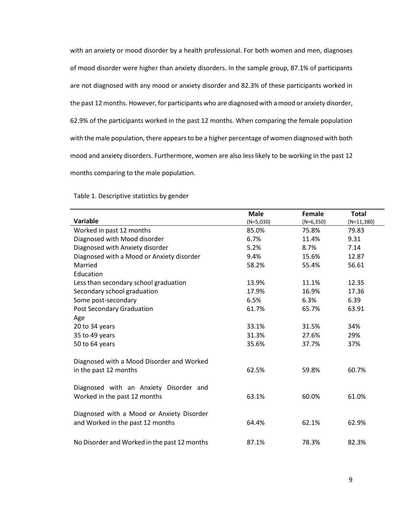with an anxiety or mood disorder by a health professional. For both women and men, diagnoses of mood disorder were higher than anxiety disorders. In the sample group, 87.1% of participants are not diagnosed with any mood or anxiety disorder and 82.3% of these participants worked in the past 12 months. However, for participants who are diagnosed with a mood or anxiety disorder, 62.9% of the participants worked in the past 12 months. When comparing the female population with the male population, there appears to be a higher percentage of women diagnosed with both mood and anxiety disorders. Furthermore, women are also less likely to be working in the past 12 months comparing to the male population.

|                                              | <b>Male</b> | <b>Female</b> | <b>Total</b> |
|----------------------------------------------|-------------|---------------|--------------|
| Variable                                     | $(N=5,030)$ | $(N=6,350)$   | $(N=11,380)$ |
| Worked in past 12 months                     | 85.0%       | 75.8%         | 79.83        |
| Diagnosed with Mood disorder                 | 6.7%        | 11.4%         | 9.31         |
| Diagnosed with Anxiety disorder              | 5.2%        | 8.7%          | 7.14         |
| Diagnosed with a Mood or Anxiety disorder    | 9.4%        | 15.6%         | 12.87        |
| Married                                      | 58.2%       | 55.4%         | 56.61        |
| Education                                    |             |               |              |
| Less than secondary school graduation        | 13.9%       | 11.1%         | 12.35        |
| Secondary school graduation                  | 17.9%       | 16.9%         | 17.36        |
| Some post-secondary                          | 6.5%        | 6.3%          | 6.39         |
| Post Secondary Graduation                    | 61.7%       | 65.7%         | 63.91        |
| Age                                          |             |               |              |
| 20 to 34 years                               | 33.1%       | 31.5%         | 34%          |
| 35 to 49 years                               | 31.3%       | 27.6%         | 29%          |
| 50 to 64 years                               | 35.6%       | 37.7%         | 37%          |
|                                              |             |               |              |
| Diagnosed with a Mood Disorder and Worked    |             |               |              |
| in the past 12 months                        | 62.5%       | 59.8%         | 60.7%        |
|                                              |             |               |              |
| Diagnosed with an Anxiety Disorder and       |             |               |              |
| Worked in the past 12 months                 | 63.1%       | 60.0%         | 61.0%        |
|                                              |             |               |              |
| Diagnosed with a Mood or Anxiety Disorder    |             |               |              |
| and Worked in the past 12 months             | 64.4%       | 62.1%         | 62.9%        |
|                                              |             |               |              |
| No Disorder and Worked in the past 12 months | 87.1%       | 78.3%         | 82.3%        |

Table 1. Descriptive statistics by gender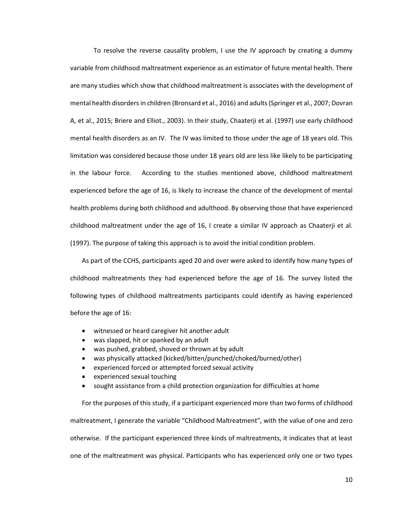To resolve the reverse causality problem, I use the IV approach by creating a dummy variable from childhood maltreatment experience as an estimator of future mental health. There are many studies which show that childhood maltreatment is associates with the development of mental health disordersin children (Bronsard et al., 2016) and adults(Springer et al., 2007; Dovran A, et al., 2015; Briere and Elliot., 2003). In their study, Chaaterji et al. (1997) use early childhood mental health disorders as an IV. The IV was limited to those under the age of 18 years old. This limitation was considered because those under 18 years old are less like likely to be participating in the labour force. According to the studies mentioned above, childhood maltreatment experienced before the age of 16, is likely to increase the chance of the development of mental health problems during both childhood and adulthood. By observing those that have experienced childhood maltreatment under the age of 16, I create a similar IV approach as Chaaterji et al. (1997). The purpose of taking this approach is to avoid the initial condition problem.

As part of the CCHS, participants aged 20 and over were asked to identify how many types of childhood maltreatments they had experienced before the age of 16. The survey listed the following types of childhood maltreatments participants could identify as having experienced before the age of 16:

witnessed or heard caregiver hit another adult

- was slapped, hit or spanked by an adult
- was pushed, grabbed, shoved or thrown at by adult
- was physically attacked (kicked/bitten/punched/choked/burned/other)
- experienced forced or attempted forced sexual activity
- experienced sexual touching
- sought assistance from a child protection organization for difficulties at home

For the purposes of this study, if a participant experienced more than two forms of childhood maltreatment, I generate the variable "Childhood Maltreatment", with the value of one and zero otherwise. If the participant experienced three kinds of maltreatments, it indicates that at least one of the maltreatment was physical. Participants who has experienced only one or two types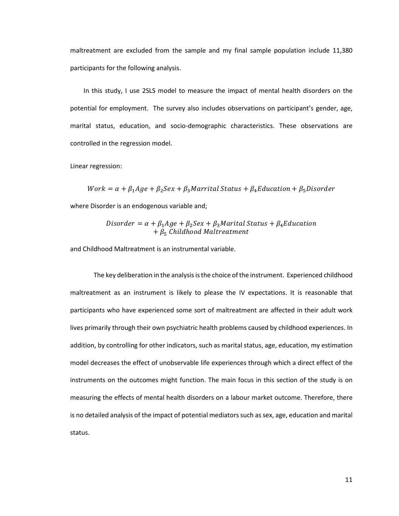maltreatment are excluded from the sample and my final sample population include 11,380 participants for the following analysis.

In this study, I use 2SLS model to measure the impact of mental health disorders on the potential for employment. The survey also includes observations on participant's gender, age, marital status, education, and socio-demographic characteristics. These observations are controlled in the regression model.

Linear regression:

 $Work = \alpha + \beta_1 Age + \beta_2 Sex + \beta_3 Marrital Status + \beta_4 Education + \beta_5 Discounter$ where Disorder is an endogenous variable and;

$$
Disorder = \alpha + \beta_1 Age + \beta_2 Sex + \beta_3 Marital Status + \beta_4 Education + \beta_5 Childhood Maltreatment
$$

and Childhood Maltreatment is an instrumental variable.

The key deliberation in the analysis is the choice of the instrument. Experienced childhood maltreatment as an instrument is likely to please the IV expectations. It is reasonable that participants who have experienced some sort of maltreatment are affected in their adult work lives primarily through their own psychiatric health problems caused by childhood experiences. In addition, by controlling for other indicators, such as marital status, age, education, my estimation model decreases the effect of unobservable life experiences through which a direct effect of the instruments on the outcomes might function. The main focus in this section of the study is on measuring the effects of mental health disorders on a labour market outcome. Therefore, there is no detailed analysis of the impact of potential mediators such as sex, age, education and marital status.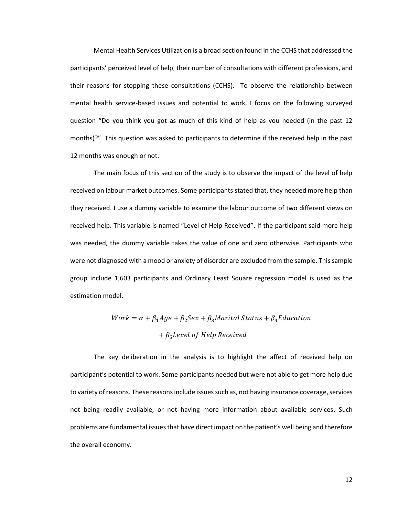Mental Health Services Utilization is a broad section found in the CCHS that addressed the participants' perceived level of help, their number of consultations with different professions, and their reasons for stopping these consultations (CCHS). To observe the relationship between mental health service-based issues and potential to work, I focus on the following surveyed question "Do you think you got as much of this kind of help as you needed (in the past 12 months)?". This question was asked to participants to determine if the received help in the past 12 months was enough or not.

The main focus of this section of the study is to observe the impact of the level of help received on labour market outcomes. Some participants stated that, they needed more help than they received. I use a dummy variable to examine the labour outcome of two different views on received help. This variable is named "Level of Help Received". If the participant said more help was needed, the dummy variable takes the value of one and zero otherwise. Participants who were not diagnosed with a mood or anxiety of disorder are excluded from the sample. This sample group include 1,603 participants and Ordinary Least Square regression model is used as the estimation model.

# $Work = \alpha + \beta_1 Age + \beta_2 Sex + \beta_3 Marital Status + \beta_4 Education$  $+ \beta_5$ Level of Help Received

The key deliberation in the analysis is to highlight the affect of received help on participant's potential to work. Some participants needed but were not able to get more help due to variety of reasons. These reasons include issues such as, not having insurance coverage, services not being readily available, or not having more information about available services. Such problems are fundamental issues that have direct impact on the patient's well being and therefore the overall economy.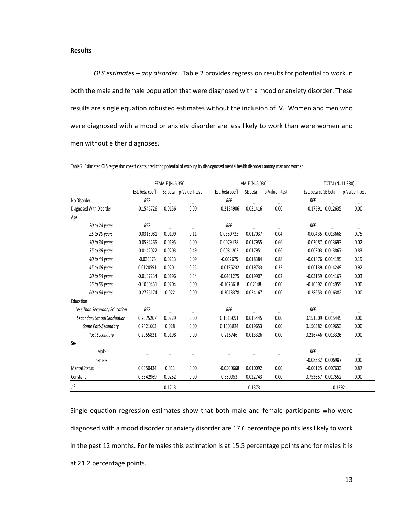### **Results**

*OLS estimates – any disorder.* Table 2 provides regression results for potential to work in both the male and female population that were diagnosed with a mood or anxiety disorder. These results are single equation robusted estimates without the inclusion of IV. Women and men who were diagnosed with a mood or anxiety disorder are less likely to work than were women and men without either diagnoses.

|                               | FEMALE (N=6,350) |                          |                          |                 | MALE (N=5,030) |                          |                      | TOTAL (N=11,380)      |                |  |
|-------------------------------|------------------|--------------------------|--------------------------|-----------------|----------------|--------------------------|----------------------|-----------------------|----------------|--|
|                               | Est. beta coeff  | SE beta                  | p-Value T-test           | Est. beta coeff | SE beta        | p-Value T-test           | Est. beta co SE beta |                       | p-Value T-test |  |
| No Disorder                   | <b>REF</b>       |                          | $\overline{\phantom{a}}$ | <b>REF</b>      |                | $\overline{\phantom{a}}$ | <b>REF</b>           |                       |                |  |
| Diagnosed With Disorder       | $-0.1546726$     | 0.0156                   | 0.00                     | $-0.2124906$    | 0.021416       | 0.00                     |                      | $-0.17591$ $0.012635$ | 0.00           |  |
| Age                           |                  |                          |                          |                 |                |                          |                      |                       |                |  |
| 20 to 24 years                | <b>REF</b>       |                          |                          | <b>REF</b>      |                | ۰                        | <b>REF</b>           |                       |                |  |
| 25 to 29 years                | $-0.0315081$     | 0.0199                   | 0.11                     | 0.0350725       | 0.017037       | 0.04                     | $-0.00435$           | 0.013668              | 0.75           |  |
| 30 to 34 years                | $-0.0584265$     | 0.0195                   | 0.00                     | 0.0079128       | 0.017955       | 0.66                     | $-0.03087$           | 0.013693              | 0.02           |  |
| 35 to 39 years                | $-0.0142022$     | 0.0203                   | 0.49                     | 0.0081202       | 0.017951       | 0.66                     | $-0.00303$           | 0.013867              | 0.83           |  |
| 40 to 44 years                | $-0.036375$      | 0.0213                   | 0.09                     | $-0.002675$     | 0.018384       | 0.88                     | $-0.01876$           | 0.014195              | 0.19           |  |
| 45 to 49 years                | 0.0120591        | 0.0201                   | 0.55                     | $-0.0196232$    | 0.019733       | 0.32                     | $-0.00139$           | 0.014249              | 0.92           |  |
| 50 to 54 years                | $-0.0187234$     | 0.0196                   | 0.34                     | $-0.0461275$    | 0.019907       | 0.02                     | $-0.03159$           | 0.014167              | 0.03           |  |
| 55 to 59 years                | $-0.1080451$     | 0.0204                   | 0.00                     | $-0.1073618$    | 0.02148        | 0.00                     | $-0.10592$           | 0.014959              | 0.00           |  |
| 60 to 64 years                | $-0.2726174$     | 0.022                    | 0.00                     | $-0.3043378$    | 0.024167       | 0.00                     |                      | $-0.28653$ $0.016382$ | 0.00           |  |
| Education                     |                  |                          |                          |                 |                |                          |                      |                       |                |  |
| Less Than Secondary Education | <b>REF</b>       |                          |                          | <b>REF</b>      |                |                          | <b>REF</b>           |                       |                |  |
| Secondary School Graduation   | 0.2075207        | 0.0229                   | 0.00                     | 0.1515091       | 0.015445       | 0.00                     | 0.151509             | 0.015445              | 0.00           |  |
| Some Post-Secondary           | 0.2421663        | 0.028                    | 0.00                     | 0.1503824       | 0.019653       | 0.00                     | 0.150382             | 0.019653              | 0.00           |  |
| Post Secondary                | 0.2955821        | 0.0198                   | 0.00                     | 0.216746        | 0.013326       | 0.00                     | 0.216746 0.013326    |                       | 0.00           |  |
| Sex                           |                  |                          |                          |                 |                |                          |                      |                       |                |  |
| Male                          |                  |                          |                          |                 |                |                          | <b>REF</b>           |                       |                |  |
| Female                        | ۳                | $\overline{\phantom{a}}$ | $\overline{a}$           |                 |                | $\overline{\phantom{a}}$ | $-0.08332$           | 0.006987              | 0.00           |  |
| <b>Marital Status</b>         | 0.0350434        | 0.011                    | 0.00                     | $-0.0500668$    | 0.010092       | 0.00                     | $-0.00125$           | 0.007633              | 0.87           |  |
| Constant                      | 0.5842969        | 0.0252                   | 0.00                     | 0.850953        | 0.022743       | 0.00                     | 0.753657             | 0.017552              | 0.00           |  |
| r <sup>2</sup>                |                  | 0.1213                   |                          |                 | 0.1373         |                          |                      | 0.1292                |                |  |

Table 2. Estimated OLS regression coeefficients predicting potential of working by dianognosed mental health disorders among man and women

Single equation regression estimates show that both male and female participants who were diagnosed with a mood disorder or anxiety disorder are 17.6 percentage points less likely to work in the past 12 months. For females this estimation is at 15.5 percentage points and for males it is at 21.2 percentage points.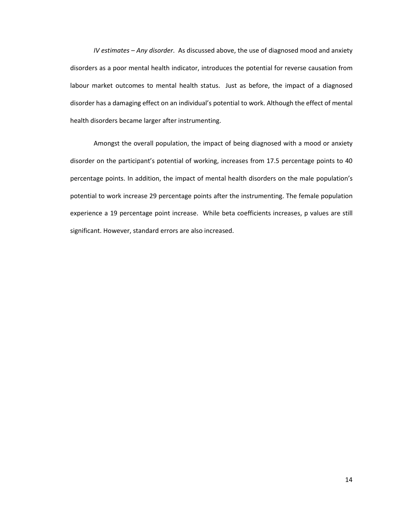*IV estimates – Any disorder*. As discussed above, the use of diagnosed mood and anxiety disorders as a poor mental health indicator, introduces the potential for reverse causation from labour market outcomes to mental health status. Just as before, the impact of a diagnosed disorder has a damaging effect on an individual's potential to work. Although the effect of mental health disorders became larger after instrumenting.

Amongst the overall population, the impact of being diagnosed with a mood or anxiety disorder on the participant's potential of working, increases from 17.5 percentage points to 40 percentage points. In addition, the impact of mental health disorders on the male population's potential to work increase 29 percentage points after the instrumenting. The female population experience a 19 percentage point increase. While beta coefficients increases, p values are still significant. However, standard errors are also increased.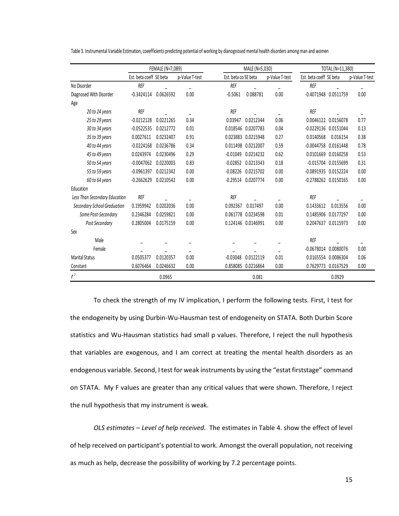|  | Table 3. Instrumental Variable Estimation, coeefficients predicting potential of working by dianognosed mental health disorders among man and women |
|--|-----------------------------------------------------------------------------------------------------------------------------------------------------|
|  |                                                                                                                                                     |
|  |                                                                                                                                                     |
|  |                                                                                                                                                     |
|  |                                                                                                                                                     |

|                               | FEMALE (N=7,089)        |           |                |                      | MALE (N=5,030) |                | TOTAL (N=11,380)         |                       |                |
|-------------------------------|-------------------------|-----------|----------------|----------------------|----------------|----------------|--------------------------|-----------------------|----------------|
|                               | Est. beta coeff SE beta |           | p-Value T-test | Est. beta co SE beta |                | p-Value T-test | Est. beta coeff SE beta  |                       | p-Value T-test |
| No Disorder                   | <b>REF</b>              |           |                | <b>REF</b>           |                |                | <b>REF</b>               |                       |                |
| Diagnosed With Disorder       | $-0.3424114$            | 0.0626592 | 0.00           | $-0.5061$            | 0.088781       | 0.00           | -0.4071948 0.0511759     |                       | 0.00           |
| Age                           |                         |           |                |                      |                |                |                          |                       |                |
| 20 to 24 years                | <b>REF</b>              |           |                | <b>REF</b>           |                |                | <b>REF</b>               |                       |                |
| 25 to 29 years                | $-0.0212128$            | 0.0221265 | 0.34           | 0.03947              | 0.0212344      | 0.06           |                          | 0.0046122 0.0156078   | 0.77           |
| 30 to 34 years                | $-0.0522535$            | 0.0212772 | 0.01           | 0.018546             | 0.0207783      | 0.04           | -0.0229136 0.0151044     |                       | 0.13           |
| 35 to 39 years                | 0.0027611               | 0.0232407 | 0.91           | 0.023883             | 0.0215948      | 0.27           | 0.0140568                | 0.016154              | 0.38           |
| 40 to 44 years                | $-0.0224168$            | 0.0236786 | 0.34           | 0.011498             | 0.0212007      | 0.59           | $-0.0044758$ $0.0161448$ |                       | 0.78           |
| 45 to 49 years                | 0.0243974               | 0.0230496 | 0.29           | $-0.01049$           | 0.0214232      | 0.62           |                          | 0.0101669 0.0160258   | 0.53           |
| 50 to 54 years                | $-0.0047062$            | 0.0220003 | 0.83           | $-0.02852$           | 0.0213343      | 0.18           |                          | $-0.015704$ 0.0155699 | 0.31           |
| 55 to 59 years                | $-0.0961397$            | 0.0212342 | 0.00           | $-0.08226$           | 0.0215702      | 0.00           | -0.0891935 0.0152224     |                       | 0.00           |
| 60 to 64 years                | $-0.2662629$            | 0.0210542 | 0.00           | $-0.29514$           | 0.0207774      | 0.00           | -0.2788262 0.0150165     |                       | 0.00           |
| Education                     |                         |           |                |                      |                |                |                          |                       |                |
| Less Than Secondary Education | <b>REF</b>              |           |                | <b>REF</b>           |                |                | <b>REF</b>               |                       |                |
| Secondary School Graduation   | 0.1959942               | 0.0202036 | 0.00           | 0.092367             | 0.017497       | 0.00           | 0.1433612                | 0.013556              | 0.00           |
| Some Post-Secondary           | 0.2346284               | 0.0259821 | 0.00           | 0.061778             | 0.0234598      | 0.01           |                          | 0.1485906 0.0177297   | 0.00           |
| Post Secondary                | 0.2805004               | 0.0175159 | 0.00           | 0.124146             | 0.0146991      | 0.00           |                          | 0.2047637 0.0115973   | 0.00           |
| Sex                           |                         |           |                |                      |                |                |                          |                       |                |
| Male                          |                         |           |                |                      |                |                | <b>REF</b>               |                       |                |
| Female                        |                         |           |                |                      |                |                | $-0.0678014$ $0.0080076$ |                       | 0.00           |
| <b>Marital Status</b>         | 0.0505377               | 0.0120357 | 0.00           | $-0.03048$           | 0.0122119      | 0.01           |                          | 0.0165554 0.0086304   | 0.06           |
| Constant                      | 0.6076464               | 0.0246632 | 0.00           | 0.858085             | 0.0216864      | 0.00           |                          | 0.7629773 0.0167529   | 0.00           |
| r <sup>2</sup>                |                         | 0.0965    |                |                      | 0.081          |                |                          | 0.0929                |                |

To check the strength of my IV implication, I perform the following tests. First, I test for the endogeneity by using Durbin-Wu-Hausman test of endogeneity on STATA. Both Durbin Score statistics and Wu-Hausman statistics had small p values. Therefore, I reject the null hypothesis that variables are exogenous, and I am correct at treating the mental health disorders as an endogenous variable. Second, I test for weak instruments by using the "estat firststage" command on STATA. My F values are greater than any critical values that were shown. Therefore, I reject the null hypothesis that my instrument is weak.

*OLS estimates – Level of help received.* The estimates in Table 4. show the effect of level of help received on participant's potential to work. Amongst the overall population, not receiving as much as help, decrease the possibility of working by 7.2 percentage points.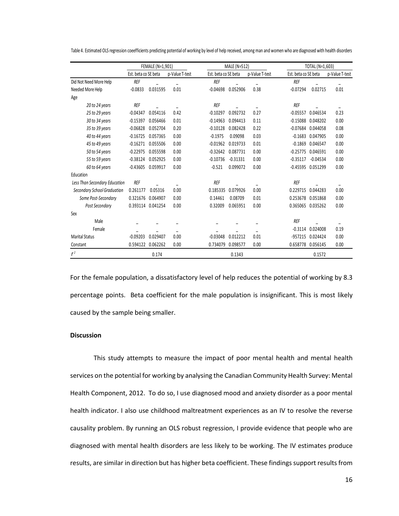|                               | FEMALE (N=1,901)     |                   |                          | MALE (N=512)         |            |                | TOTAL (N=1,603)      |                       |                |
|-------------------------------|----------------------|-------------------|--------------------------|----------------------|------------|----------------|----------------------|-----------------------|----------------|
|                               | Est. beta co SE beta |                   | p-Value T-test           | Est. beta co SE beta |            | p-Value T-test | Est. beta co SE beta |                       | p-Value T-test |
| Did Not Need More Help        | <b>REF</b>           |                   |                          | <b>REF</b>           |            |                | <b>REF</b>           |                       |                |
| Needed More Help              | $-0.0833$            | 0.031595          | 0.01                     | $-0.04698$           | 0.052906   | 0.38           | $-0.07294$           | 0.02715               | 0.01           |
| Age                           |                      |                   |                          |                      |            |                |                      |                       |                |
| 20 to 24 years                | REF                  |                   |                          | REF                  |            |                | REF                  |                       |                |
| 25 to 29 years                | $-0.04347$           | 0.054116          | 0.42                     | $-0.10297$           | 0.092732   | 0.27           |                      | $-0.05557$ $0.046534$ | 0.23           |
| 30 to 34 years                | $-0.15397$           | 0.056466          | 0.01                     | $-0.14963$           | 0.094413   | 0.11           |                      | $-0.15088$ $0.048202$ | 0.00           |
| 35 to 39 years                | $-0.06828$           | 0.052704          | 0.20                     | $-0.10128$           | 0.082428   | 0.22           |                      | $-0.07684$ 0.044058   | 0.08           |
| 40 to 44 years                | $-0.16725$           | 0.057365          | 0.00                     | $-0.1975$            | 0.09098    | 0.03           |                      | $-0.1683$ $0.047905$  | 0.00           |
| 45 to 49 years                | $-0.16271$           | 0.055506          | 0.00                     | $-0.01962$           | 0.019733   | 0.01           |                      | $-0.1869$ 0.046547    | 0.00           |
| 50 to 54 years                | $-0.22975$           | 0.055598          | 0.00                     | $-0.32642$           | 0.087731   | 0.00           |                      | $-0.25775$ 0.046591   | 0.00           |
| 55 to 59 years                | $-0.38124$           | 0.052925          | 0.00                     | $-0.10736$           | $-0.31331$ | 0.00           | $-0.35117$           | $-0.04534$            | 0.00           |
| 60 to 64 years                | $-0.43605$           | 0.059917          | 0.00                     | $-0.521$             | 0.099072   | 0.00           |                      | -0.45595 0.051299     | 0.00           |
| Education                     |                      |                   |                          |                      |            |                |                      |                       |                |
| Less Than Secondary Education | <b>REF</b>           |                   |                          | <b>REF</b>           |            |                | <b>REF</b>           |                       |                |
| Secondary School Graduation   | 0.261177             | 0.05316           | 0.00                     | 0.185335             | 0.079926   | 0.00           | 0.229715             | 0.044283              | 0.00           |
| Some Post-Secondary           | 0.321676             | 0.064907          | 0.00                     | 0.14461              | 0.08709    | 0.01           | 0.253678             | 0.051868              | 0.00           |
| Post Secondary                |                      | 0.393114 0.041254 | 0.00                     | 0.32009              | 0.065951   | 0.00           |                      | 0.365065 0.035262     | 0.00           |
| Sex                           |                      |                   |                          |                      |            |                |                      |                       |                |
| Male                          |                      |                   |                          |                      |            |                | <b>REF</b>           |                       |                |
| Female                        |                      |                   | $\overline{\phantom{m}}$ |                      |            | -              |                      | $-0.3114$ $0.024008$  | 0.19           |
| <b>Marital Status</b>         | $-0.09203$           | 0.029407          | 0.00                     | $-0.03048$           | 0.012212   | 0.01           | $-957215$            | 0.024424              | 0.00           |
| Constant                      | 0.594122             | 0.062262          | 0.00                     | 0.734079             | 0.098577   | 0.00           |                      | 0.658778 0.056145     | 0.00           |
| r <sup>2</sup>                |                      | 0.174             |                          |                      | 0.1343     |                |                      | 0.1572                |                |

Table 4. Estimated OLS regression coeefficients predicting potential of working by level of help received, among man and women who are diagnosed with health disorders

For the female population, a dissatisfactory level of help reduces the potential of working by 8.3 percentage points. Beta coefficient for the male population is insignificant. This is most likely caused by the sample being smaller.

### **Discussion**

This study attempts to measure the impact of poor mental health and mental health services on the potential for working by analysing the Canadian Community Health Survey: Mental Health Component, 2012. To do so, I use diagnosed mood and anxiety disorder as a poor mental health indicator. I also use childhood maltreatment experiences as an IV to resolve the reverse causality problem. By running an OLS robust regression, I provide evidence that people who are diagnosed with mental health disorders are less likely to be working. The IV estimates produce results, are similar in direction but has higher beta coefficient. These findings support results from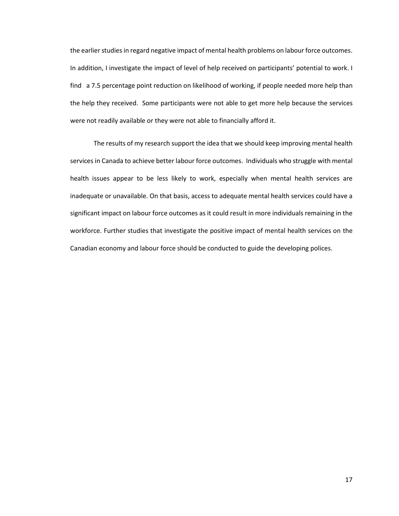the earlier studies in regard negative impact of mental health problems on labour force outcomes. In addition, I investigate the impact of level of help received on participants' potential to work. I find a 7.5 percentage point reduction on likelihood of working, if people needed more help than the help they received. Some participants were not able to get more help because the services were not readily available or they were not able to financially afford it.

The results of my research support the idea that we should keep improving mental health services in Canada to achieve better labour force outcomes. Individuals who struggle with mental health issues appear to be less likely to work, especially when mental health services are inadequate or unavailable. On that basis, access to adequate mental health services could have a significant impact on labour force outcomes as it could result in more individuals remaining in the workforce. Further studies that investigate the positive impact of mental health services on the Canadian economy and labour force should be conducted to guide the developing polices.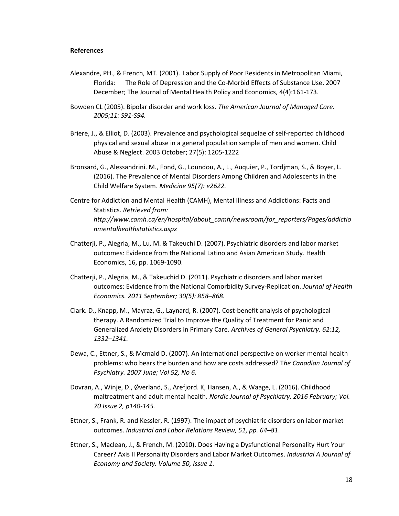### **References**

- Alexandre, PH., & French, MT. (2001). Labor Supply of Poor Residents in Metropolitan Miami, Florida: The Role of Depression and the Co-Morbid Effects of Substance Use. 2007 December; The Journal of Mental Health Policy and Economics, 4(4):161-173.
- Bowden CL (2005). Bipolar disorder and work loss. *The American Journal of Managed Care. 2005;11: S91-S94.*
- Briere, J., & Elliot, D. (2003). Prevalence and psychological sequelae of self-reported childhood physical and sexual abuse in a general population sample of men and women. Child Abuse & Neglect. 2003 October; 27(5): 1205-1222
- Bronsard, G., Alessandrini. M., Fond, G., Loundou, A., L., Auquier, P., Tordjman, S., & Boyer, L. (2016). The Prevalence of Mental Disorders Among Children and Adolescents in the Child Welfare System. *Medicine 95(7): e2622.*
- Centre for Addiction and Mental Health (CAMH), Mental Illness and Addictions: Facts and Statistics. *Retrieved from: http://www.camh.ca/en/hospital/about\_camh/newsroom/for\_reporters/Pages/addictio nmentalhealthstatistics.aspx*
- Chatterji, P., Alegria, M., Lu, M. & Takeuchi D. (2007). Psychiatric disorders and labor market outcomes: Evidence from the National Latino and Asian American Study. Health Economics, 16, pp. 1069-1090.
- Chatterji, P., Alegria, M., & Takeuchid D. (2011). Psychiatric disorders and labor market outcomes: Evidence from the National Comorbidity Survey-Replication. *Journal of Health Economics. 2011 September; 30(5): 858–868.*
- Clark. D., Knapp, M., Mayraz, G., Laynard, R. (2007). Cost-benefit analysis of psychological therapy. A Randomized Trial to Improve the Quality of Treatment for Panic and Generalized Anxiety Disorders in Primary Care. *Archives of General Psychiatry. 62:12, 1332–1341.*
- Dewa, C., Ettner, S., & Mcmaid D. (2007). An international perspective on worker mental health problems: who bears the burden and how are costs addressed? T*he Canadian Journal of Psychiatry. 2007 June; Vol 52, No 6.*
- Dovran, A., Winje, D., Øverland, S., Arefjord. K, Hansen, A., & Waage, L. (2016). Childhood maltreatment and adult mental health. *Nordic Journal of Psychiatry. 2016 February; Vol. 70 Issue 2, p140-145.*
- Ettner, S., Frank, R. and Kessler, R. (1997). The impact of psychiatric disorders on labor market outcomes. *Industrial and Labor Relations Review, 51, pp. 64–81*.
- Ettner, S., Maclean, J., & French, M. (2010). Does Having a Dysfunctional Personality Hurt Your Career? Axis II Personality Disorders and Labor Market Outcomes. *Industrial A Journal of Economy and Society. Volume 50, Issue 1.*